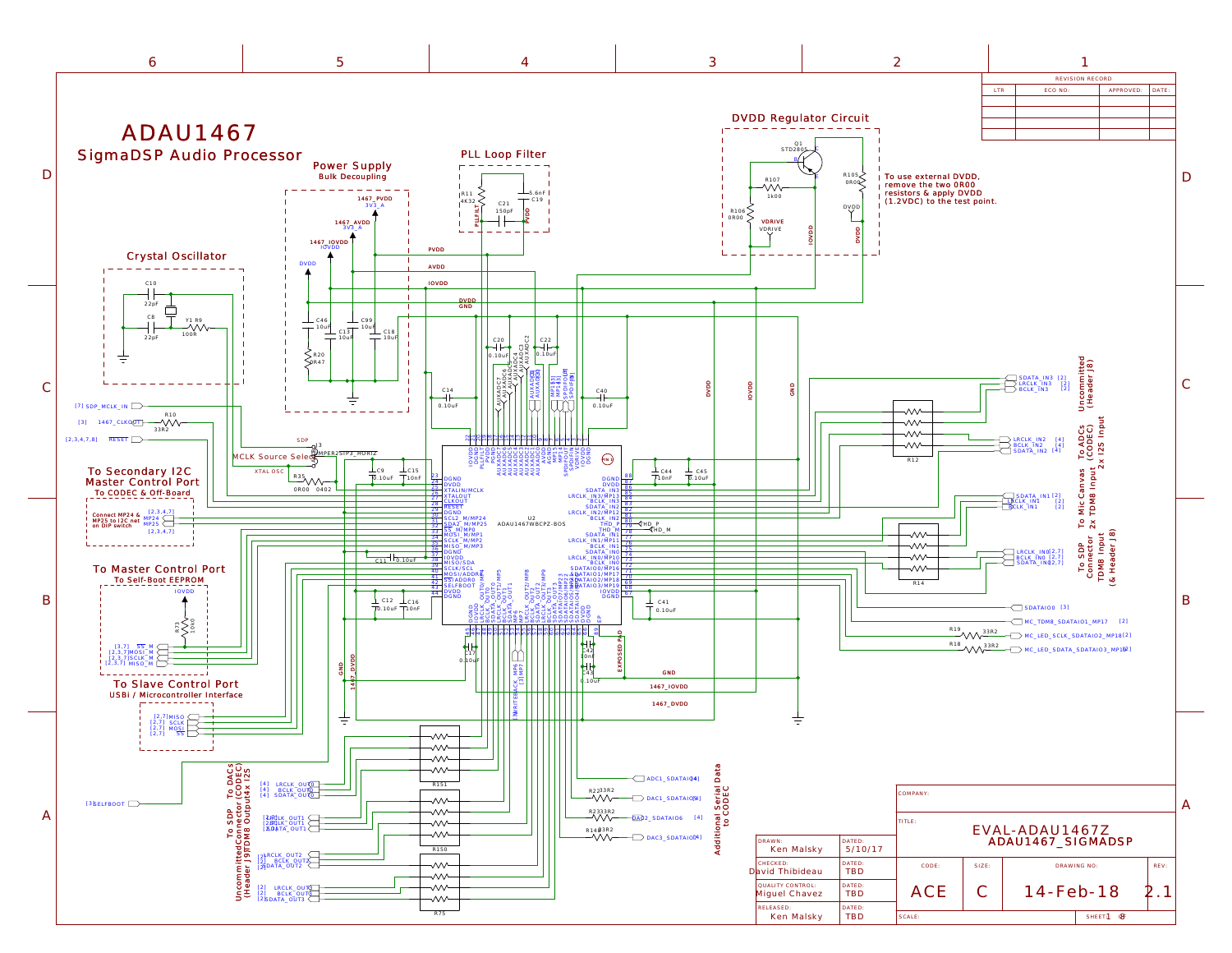<span id="page-0-0"></span>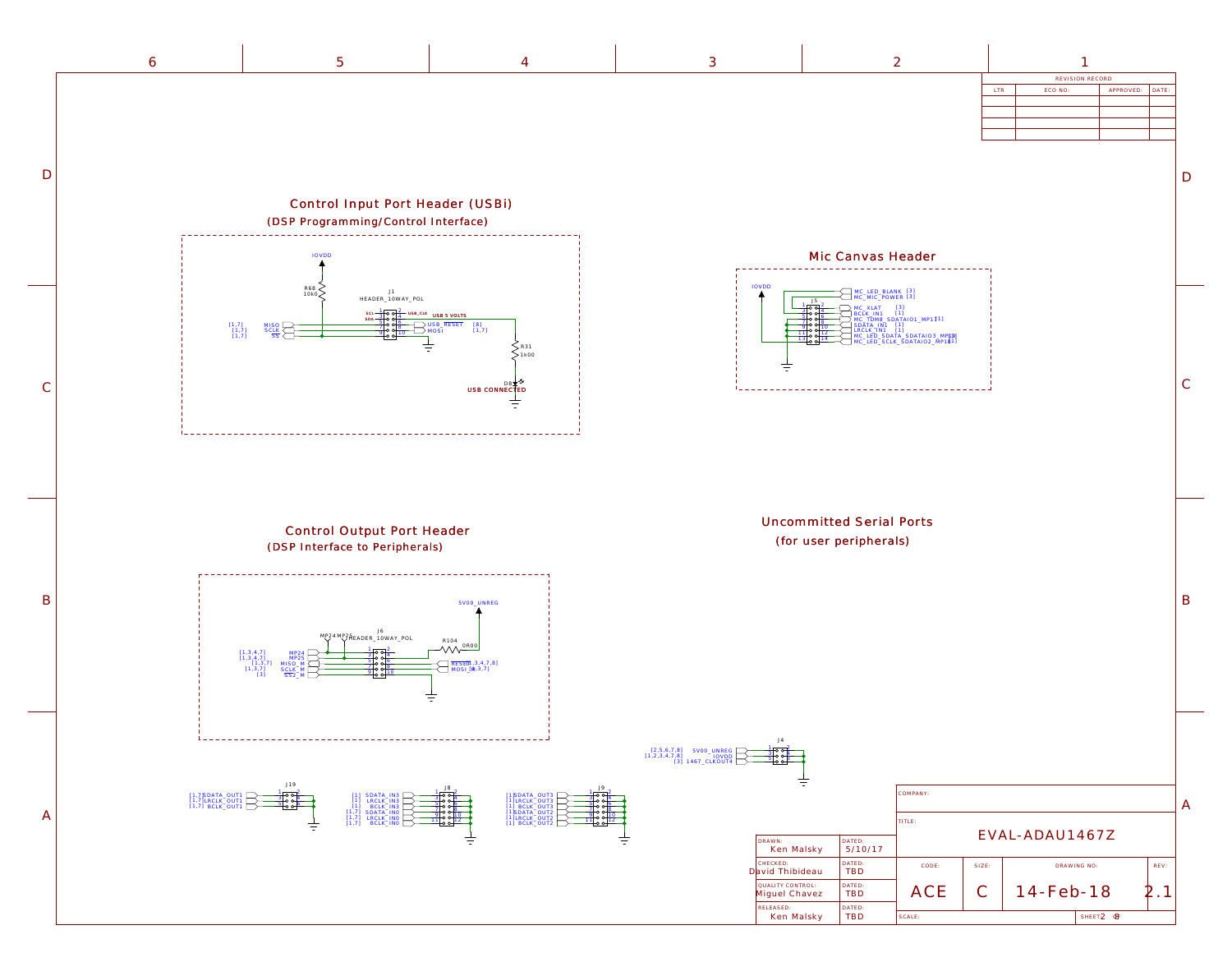B

D

C

| $\mathcal{Z}$ |            |                 |           |       |
|---------------|------------|-----------------|-----------|-------|
|               |            | REVISION RECORD |           |       |
|               | <b>LTR</b> | ECO NO:         | APPROVED: | DATE: |
|               |            |                 |           |       |
|               |            |                 |           |       |
|               |            |                 |           |       |
|               |            |                 |           |       |
|               |            |                 |           |       |
|               |            |                 |           |       |
|               |            |                 |           |       |
|               |            |                 |           |       |
|               |            |                 |           |       |
|               |            |                 |           |       |
|               |            |                 |           |       |
|               |            |                 |           |       |

| NREG<br>OVDD<br>OUT4 | J4<br>$\circ$ $\circ$<br>⊦o o–    |                      |          |                |                |                                            |      |   |
|----------------------|-----------------------------------|----------------------|----------|----------------|----------------|--------------------------------------------|------|---|
|                      |                                   |                      | COMPANY: |                |                |                                            |      | A |
|                      |                                   |                      | TITLE:   |                |                |                                            |      |   |
|                      | DRAWN:<br>Ken Malsky              | DATED:<br>5/10/17    |          |                | EVAL-ADAU1467Z |                                            |      |   |
|                      | CHECKED:<br>David Thibideau       | DATED:<br><b>TBD</b> | CODE:    | SIZE:          |                | DRAWING NO:                                | REV: |   |
|                      | QUALITY CONTROL:<br>Miguel Chavez | DATED:<br><b>TBD</b> | ACE      | $\overline{C}$ | 14-Feb-18      |                                            |      |   |
|                      | RELEASED:<br>Ken Malsky           | DATED:<br><b>TBD</b> | SCALE:   |                |                | SHEET <sub>2</sub> <sup><sup>8</sup></sup> |      |   |



<span id="page-1-0"></span>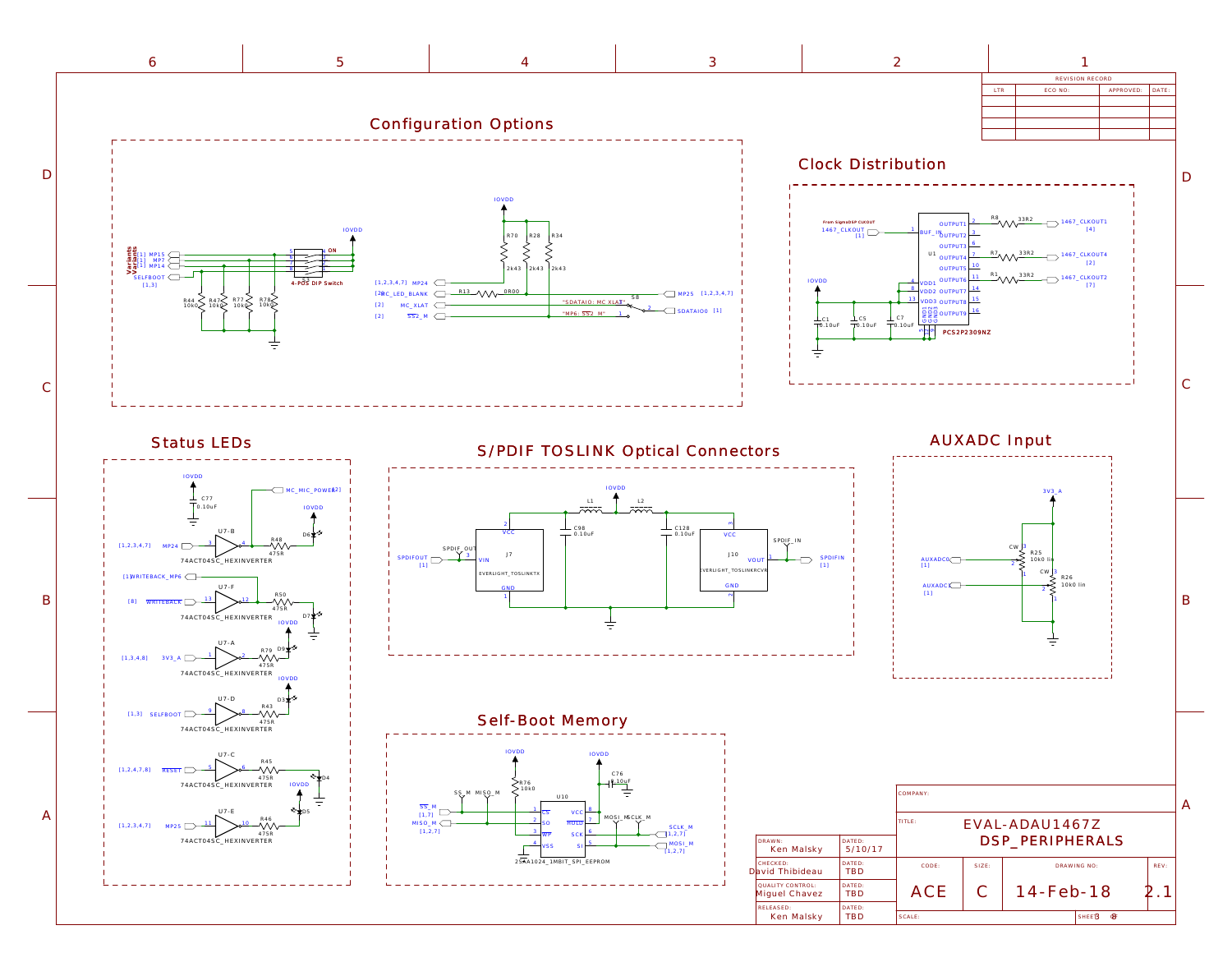| Ken Malsky                        | TRL           | SCALE: |           | SHEER | <b>&amp;</b> |
|-----------------------------------|---------------|--------|-----------|-------|--------------|
| RELEASED:                         | DATED:        |        |           |       |              |
| QUALITY CONTROL:<br>Miguel Chavez | DATED:<br>TBD |        | 14-Feb-18 |       |              |
| iviu inibiueau                    |               |        |           |       |              |

<span id="page-2-0"></span>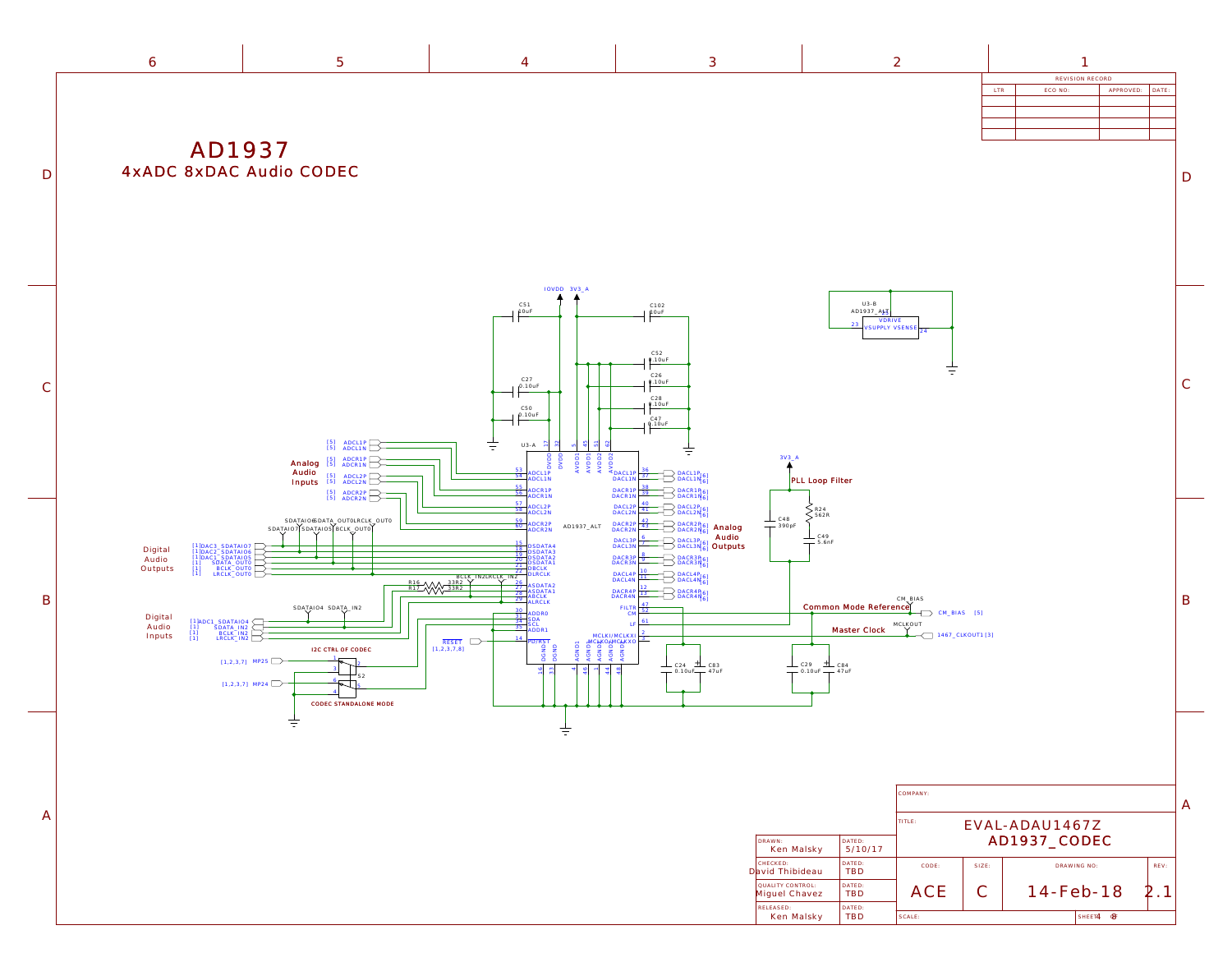|                                   |                      | COMPANY:                                 |           |                 |             |      |  |
|-----------------------------------|----------------------|------------------------------------------|-----------|-----------------|-------------|------|--|
| DRAWN:<br>Ken Malsky              | DATED:<br>5/10/17    | TITLE:<br>EVAL-ADAU1467Z<br>AD1937_CODEC |           |                 |             |      |  |
| CHECKED:<br>David Thibideau       | DATED:<br><b>TBD</b> | CODE:                                    | $SIZE$ :  | DRAWING NO:     |             | REV: |  |
| QUALITY CONTROL:<br>Miguel Chavez | DATED:<br><b>TBD</b> | ACE                                      | $\bigcap$ | $14 - Feb - 18$ |             |      |  |
| RELEASED:<br>Ken Malsky           | DATED:<br>TBD        | SCALE:                                   |           |                 | SHEET4<br>അ |      |  |

| $\tilde{\phantom{a}}$ |                 |         |           |       |  |
|-----------------------|-----------------|---------|-----------|-------|--|
|                       | REVISION RECORD |         |           |       |  |
|                       | <b>LTR</b>      | ECO NO: | APPROVED: | DATE: |  |
|                       |                 |         |           |       |  |
|                       |                 |         |           |       |  |

 $\mathbb D$ 

 $\overline{C}$ 

A

B

<span id="page-3-0"></span>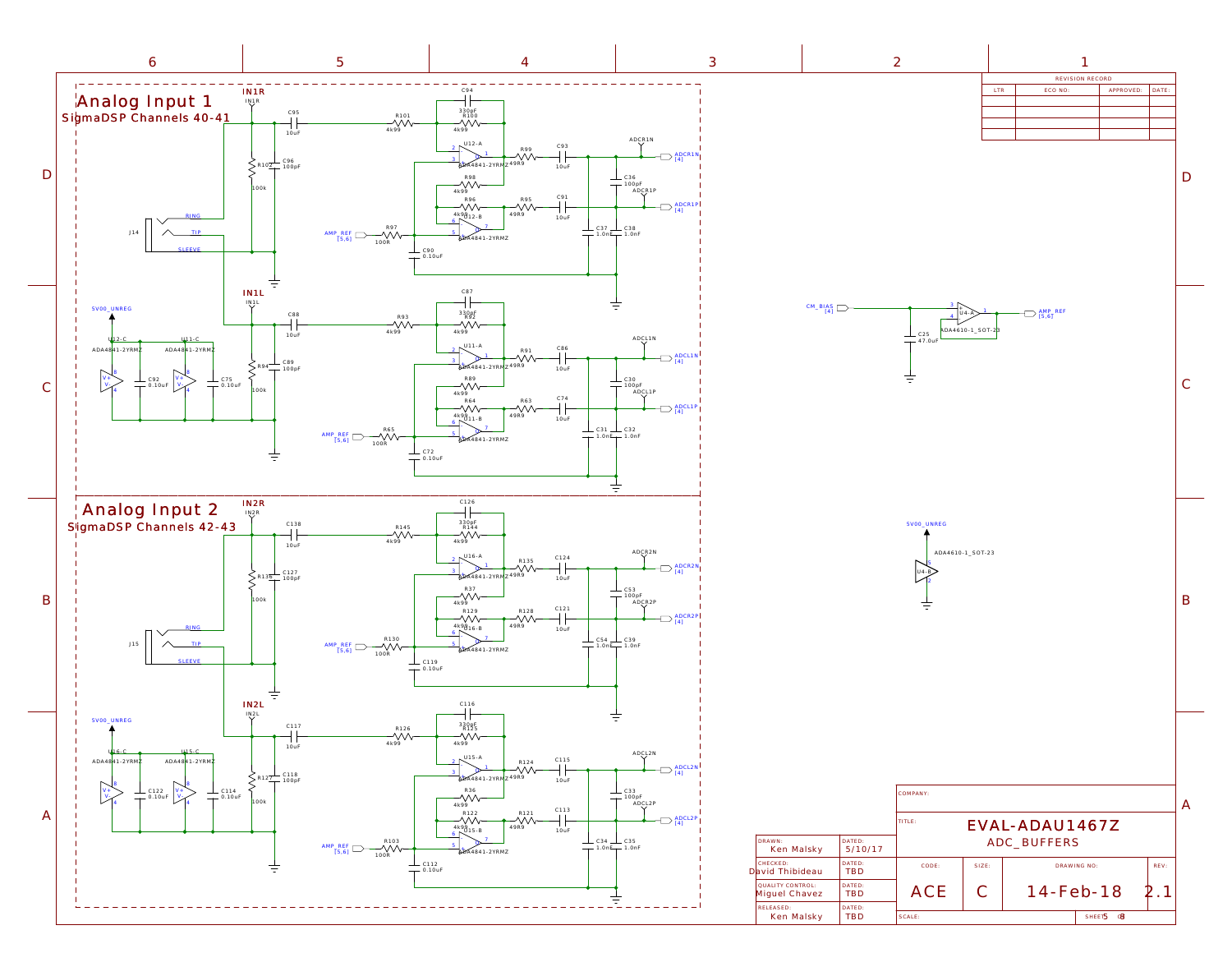<span id="page-4-0"></span>

| 3         |                                                      |                      | $\mathcal{Z}$                                        |                              |                                                                |                              |       |              |
|-----------|------------------------------------------------------|----------------------|------------------------------------------------------|------------------------------|----------------------------------------------------------------|------------------------------|-------|--------------|
|           |                                                      |                      |                                                      | LTR                          | ECO NO:                                                        | REVISION RECORD<br>APPROVED: | DATE: |              |
|           |                                                      |                      |                                                      |                              |                                                                |                              |       |              |
|           |                                                      |                      |                                                      |                              |                                                                |                              |       |              |
|           |                                                      |                      |                                                      |                              |                                                                |                              |       |              |
|           |                                                      |                      |                                                      |                              |                                                                |                              |       |              |
|           |                                                      |                      |                                                      |                              |                                                                |                              |       |              |
|           |                                                      |                      |                                                      |                              |                                                                |                              |       |              |
|           |                                                      |                      |                                                      |                              |                                                                |                              |       |              |
|           |                                                      |                      |                                                      |                              |                                                                |                              |       |              |
|           | $CM$ _BIAS<br>[4]                                    |                      | 3<br>$\overline{4}$<br>$\frac{1}{1}$ C25<br>- 47.0uF | $U4 - A$<br>ADA4610-1_SOT-23 | $\begin{array}{c} \text{AMP\_REF} \\ \text{[5,6]} \end{array}$ |                              |       |              |
|           |                                                      |                      | 5VOO_UNREG                                           | ADA4610-1_SOT-23             |                                                                |                              |       | $\mathbf B$  |
|           |                                                      |                      | COMPANY:                                             |                              |                                                                |                              |       | $\mathbb{A}$ |
| DRAWN:    |                                                      | DATED:               | $\ensuremath{\mathsf{T}}\xspace \textsf{ITLE}$ :     |                              | EVAL-ADAU1467Z<br>ADC_BUFFERS                                  |                              |       |              |
| CHECKED:  | Ken Malsky                                           | 5/10/17<br>DATED:    | CODE:                                                | SIZE:                        |                                                                | DRAWING NO:                  | REV:  |              |
|           | David Thibideau<br>QUALITY CONTROL:<br>Miguel Chavez | TBD<br>DATED:<br>TBD | ACE                                                  | $\mathcal{C}$                |                                                                | 14-Feb-18                    | 2.1   |              |
| RELEASED: | Ken Malsky                                           | DATED:<br>TBD        | $SCALE$ :                                            |                              |                                                                | SHEET5 <b>8</b>              |       |              |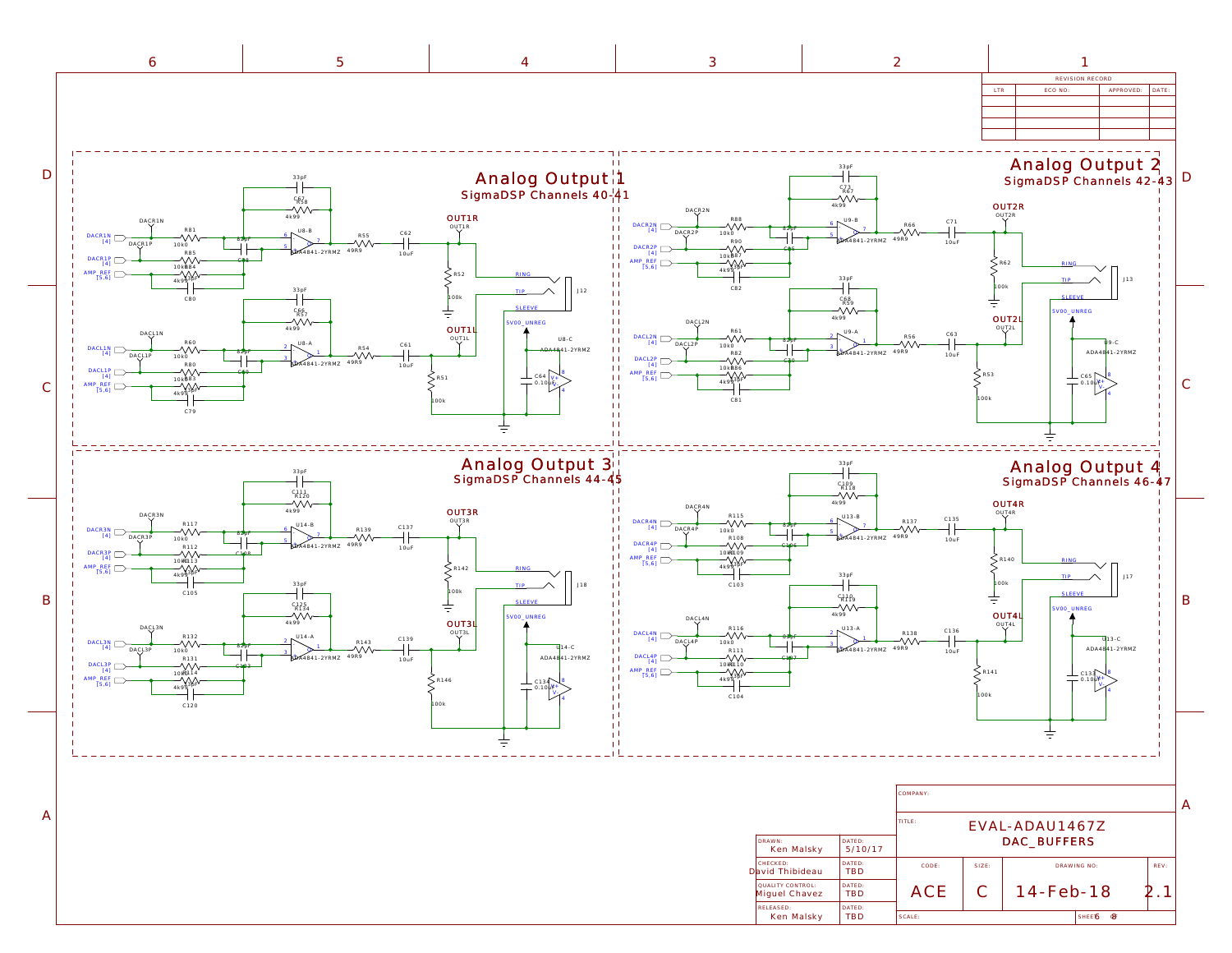<span id="page-5-0"></span>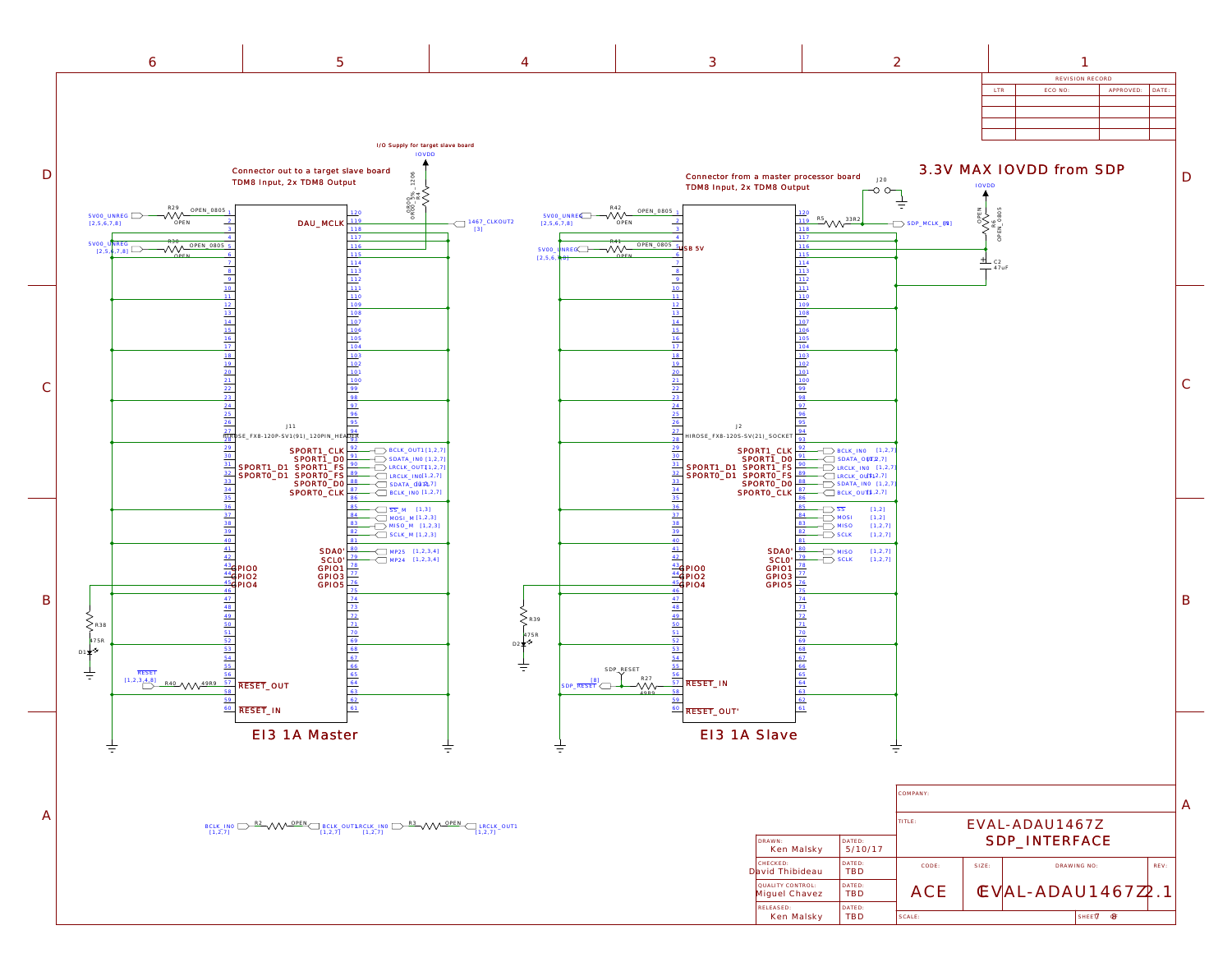Ken Malsky

TBD SCALE: SERVICE SHEET OF SHEET OF SHEET OF SHEET OF SHEET OF SHEET OF SHEET OF SHEET OF SHEET OF SHEET OF SHEET OF SHEET OF SHEET OF SHEET OF SHEET OF SHEET OF SHEET OF SHEET OF SHEET OF SHEET OF SHEET OF SHEET OF SHEET

|  |  |      | viston recor          |            |
|--|--|------|-----------------------|------------|
|  |  | LIN. | _ _ _ _ _<br>LUU INU. | . <i>.</i> |

| ltr | ECO NO: | APPROVED: DATE: |  |
|-----|---------|-----------------|--|
|     |         |                 |  |
|     |         |                 |  |
|     |         |                 |  |
|     |         |                 |  |
|     |         |                 |  |



<span id="page-6-0"></span>